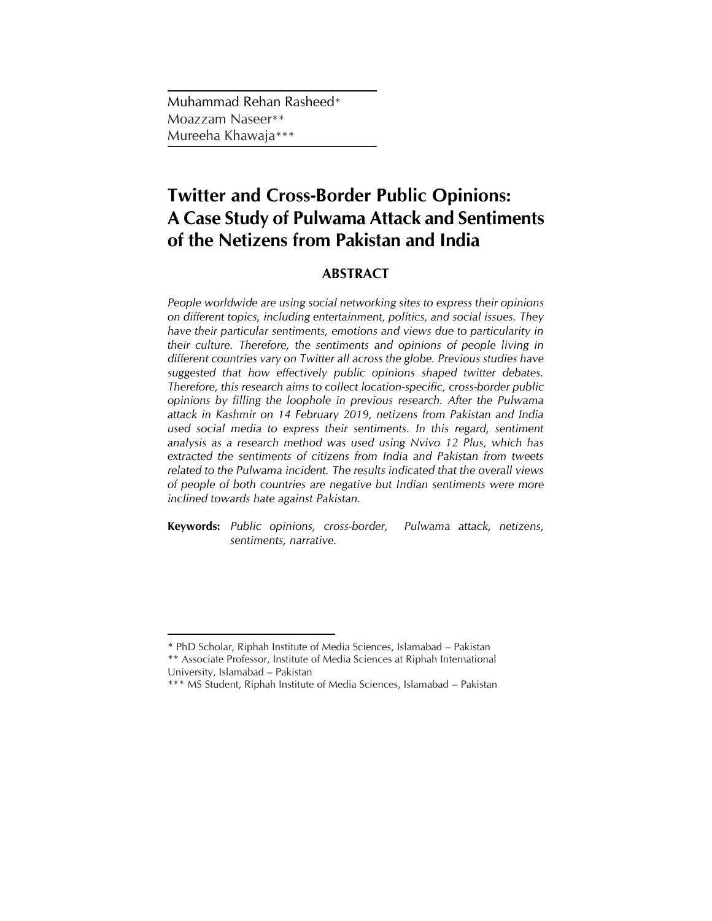Muhammad Rehan Rasheed\* Moazzam Naseer\*\* Mureeha Khawaja\*\*\*

# **Twitter and Cross-Border Public Opinions: A Case Study of Pulwama Attack and Sentiments of the Netizens from Pakistan and India**

# **ABSTRACT**

*People worldwide are using social networking sites to express their opinions on different topics, including entertainment, politics, and social issues. They have their particular sentiments, emotions and views due to particularity in their culture. Therefore, the sentiments and opinions of people living in different countries vary on Twitter all across the globe. Previous studies have suggested that how effectively public opinions shaped twitter debates. Therefore, this research aims to collect location-specific, cross-border public opinions by filling the loophole in previous research. After the Pulwama attack in Kashmir on 14 February 2019, netizens from Pakistan and India used social media to express their sentiments. In this regard, sentiment analysis as a research method was used using Nvivo 12 Plus, which has extracted the sentiments of citizens from India and Pakistan from tweets related to the Pulwama incident. The results indicated that the overall views of people of both countries are negative but Indian sentiments were more inclined towards hate against Pakistan.*

**Keywords:** *Public opinions, cross-border, Pulwama attack, netizens, sentiments, narrative.*

 $\overline{a}$ 

<sup>\*</sup> PhD Scholar, Riphah Institute of Media Sciences, Islamabad – Pakistan

<sup>\*\*</sup> Associate Professor, Institute of Media Sciences at Riphah International University, Islamabad – Pakistan

<sup>\*\*\*</sup> MS Student, Riphah Institute of Media Sciences, Islamabad – Pakistan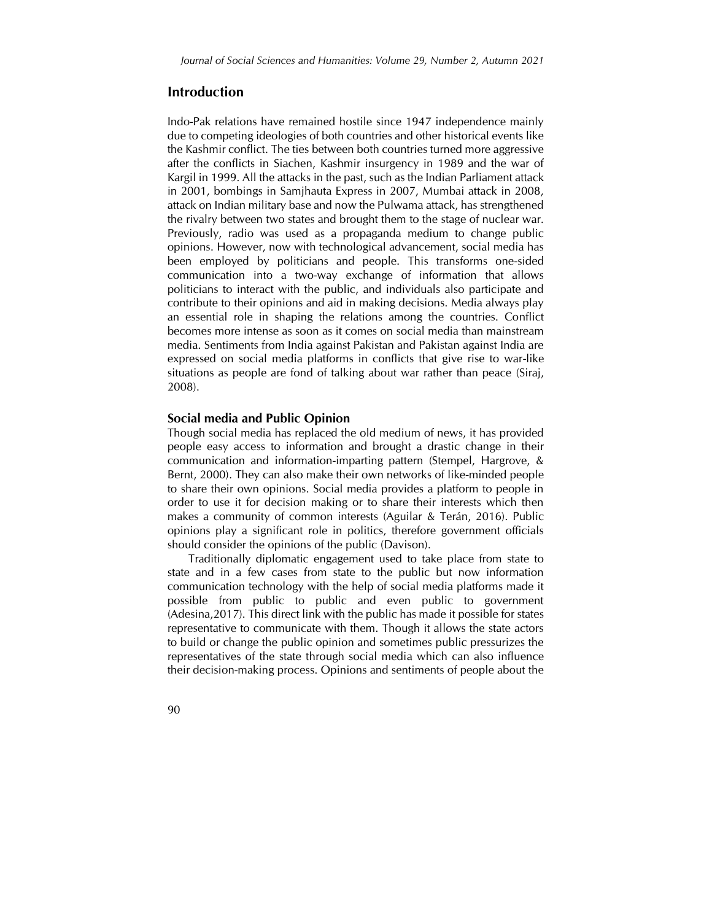## **Introduction**

Indo-Pak relations have remained hostile since 1947 independence mainly due to competing ideologies of both countries and other historical events like the Kashmir conflict. The ties between both countries turned more aggressive after the conflicts in Siachen, Kashmir insurgency in 1989 and the war of Kargil in 1999. All the attacks in the past, such as the Indian Parliament attack in 2001, bombings in Samjhauta Express in 2007, Mumbai attack in 2008, attack on Indian military base and now the Pulwama attack, has strengthened the rivalry between two states and brought them to the stage of nuclear war. Previously, radio was used as a propaganda medium to change public opinions. However, now with technological advancement, social media has been employed by politicians and people. This transforms one-sided communication into a two-way exchange of information that allows politicians to interact with the public, and individuals also participate and contribute to their opinions and aid in making decisions. Media always play an essential role in shaping the relations among the countries. Conflict becomes more intense as soon as it comes on social media than mainstream media. Sentiments from India against Pakistan and Pakistan against India are expressed on social media platforms in conflicts that give rise to war-like situations as people are fond of talking about war rather than peace (Siraj, 2008).

#### **Social media and Public Opinion**

Though social media has replaced the old medium of news, it has provided people easy access to information and brought a drastic change in their communication and information-imparting pattern (Stempel, Hargrove, & Bernt, 2000). They can also make their own networks of like-minded people to share their own opinions. Social media provides a platform to people in order to use it for decision making or to share their interests which then makes a community of common interests (Aguilar & Terán, 2016). Public opinions play a significant role in politics, therefore government officials should consider the opinions of the public (Davison).

Traditionally diplomatic engagement used to take place from state to state and in a few cases from state to the public but now information communication technology with the help of social media platforms made it possible from public to public and even public to government (Adesina,2017). This direct link with the public has made it possible for states representative to communicate with them. Though it allows the state actors to build or change the public opinion and sometimes public pressurizes the representatives of the state through social media which can also influence their decision-making process. Opinions and sentiments of people about the

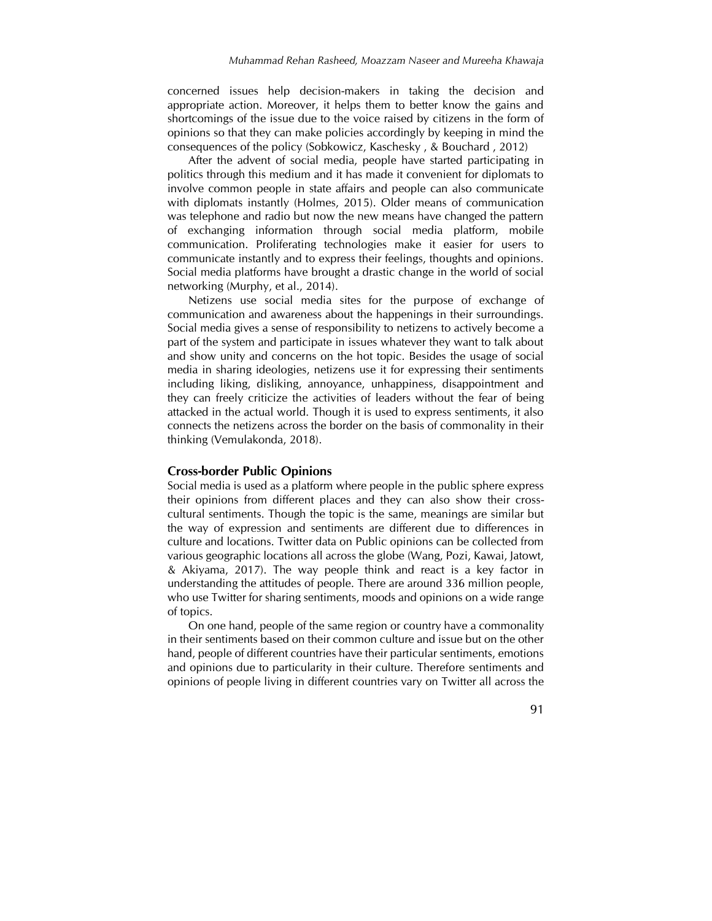concerned issues help decision-makers in taking the decision and appropriate action. Moreover, it helps them to better know the gains and shortcomings of the issue due to the voice raised by citizens in the form of opinions so that they can make policies accordingly by keeping in mind the consequences of the policy (Sobkowicz, Kaschesky , & Bouchard , 2012)

After the advent of social media, people have started participating in politics through this medium and it has made it convenient for diplomats to involve common people in state affairs and people can also communicate with diplomats instantly (Holmes, 2015). Older means of communication was telephone and radio but now the new means have changed the pattern of exchanging information through social media platform, mobile communication. Proliferating technologies make it easier for users to communicate instantly and to express their feelings, thoughts and opinions. Social media platforms have brought a drastic change in the world of social networking (Murphy, et al., 2014).

Netizens use social media sites for the purpose of exchange of communication and awareness about the happenings in their surroundings. Social media gives a sense of responsibility to netizens to actively become a part of the system and participate in issues whatever they want to talk about and show unity and concerns on the hot topic. Besides the usage of social media in sharing ideologies, netizens use it for expressing their sentiments including liking, disliking, annoyance, unhappiness, disappointment and they can freely criticize the activities of leaders without the fear of being attacked in the actual world. Though it is used to express sentiments, it also connects the netizens across the border on the basis of commonality in their thinking (Vemulakonda, 2018).

#### **Cross-border Public Opinions**

Social media is used as a platform where people in the public sphere express their opinions from different places and they can also show their crosscultural sentiments. Though the topic is the same, meanings are similar but the way of expression and sentiments are different due to differences in culture and locations. Twitter data on Public opinions can be collected from various geographic locations all across the globe (Wang, Pozi, Kawai, Jatowt, & Akiyama, 2017). The way people think and react is a key factor in understanding the attitudes of people. There are around 336 million people, who use Twitter for sharing sentiments, moods and opinions on a wide range of topics.

On one hand, people of the same region or country have a commonality in their sentiments based on their common culture and issue but on the other hand, people of different countries have their particular sentiments, emotions and opinions due to particularity in their culture. Therefore sentiments and opinions of people living in different countries vary on Twitter all across the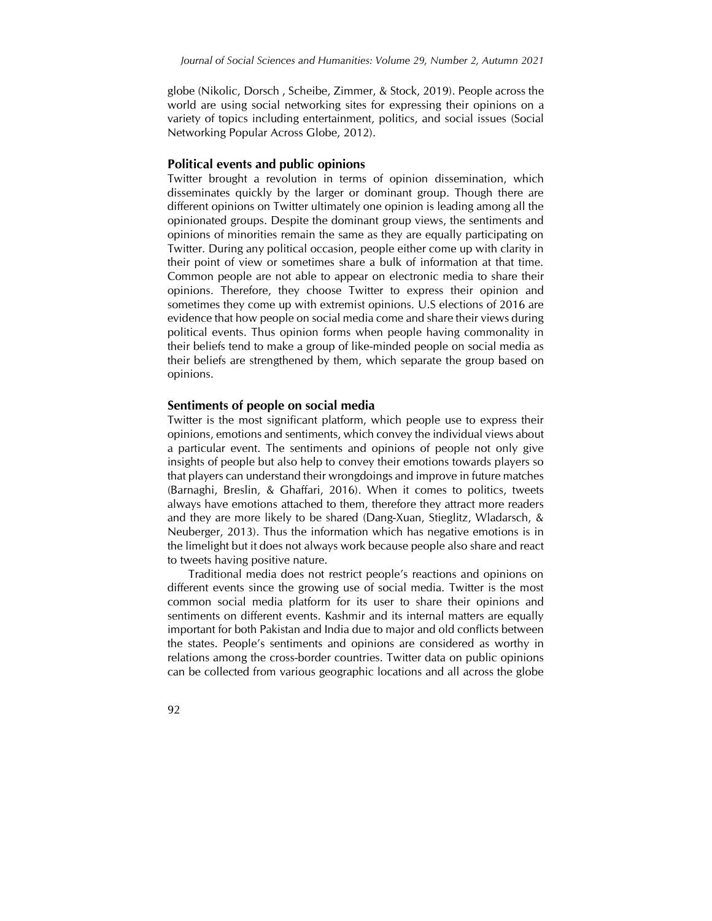globe (Nikolic, Dorsch , Scheibe, Zimmer, & Stock, 2019). People across the world are using social networking sites for expressing their opinions on a variety of topics including entertainment, politics, and social issues (Social Networking Popular Across Globe, 2012).

#### **Political events and public opinions**

Twitter brought a revolution in terms of opinion dissemination, which disseminates quickly by the larger or dominant group. Though there are different opinions on Twitter ultimately one opinion is leading among all the opinionated groups. Despite the dominant group views, the sentiments and opinions of minorities remain the same as they are equally participating on Twitter. During any political occasion, people either come up with clarity in their point of view or sometimes share a bulk of information at that time. Common people are not able to appear on electronic media to share their opinions. Therefore, they choose Twitter to express their opinion and sometimes they come up with extremist opinions. U.S elections of 2016 are evidence that how people on social media come and share their views during political events. Thus opinion forms when people having commonality in their beliefs tend to make a group of like-minded people on social media as their beliefs are strengthened by them, which separate the group based on opinions.

#### **Sentiments of people on social media**

Twitter is the most significant platform, which people use to express their opinions, emotions and sentiments, which convey the individual views about a particular event. The sentiments and opinions of people not only give insights of people but also help to convey their emotions towards players so that players can understand their wrongdoings and improve in future matches (Barnaghi, Breslin, & Ghaffari, 2016). When it comes to politics, tweets always have emotions attached to them, therefore they attract more readers and they are more likely to be shared (Dang-Xuan, Stieglitz, Wladarsch, & Neuberger, 2013). Thus the information which has negative emotions is in the limelight but it does not always work because people also share and react to tweets having positive nature.

Traditional media does not restrict people's reactions and opinions on different events since the growing use of social media. Twitter is the most common social media platform for its user to share their opinions and sentiments on different events. Kashmir and its internal matters are equally important for both Pakistan and India due to major and old conflicts between the states. People's sentiments and opinions are considered as worthy in relations among the cross-border countries. Twitter data on public opinions can be collected from various geographic locations and all across the globe

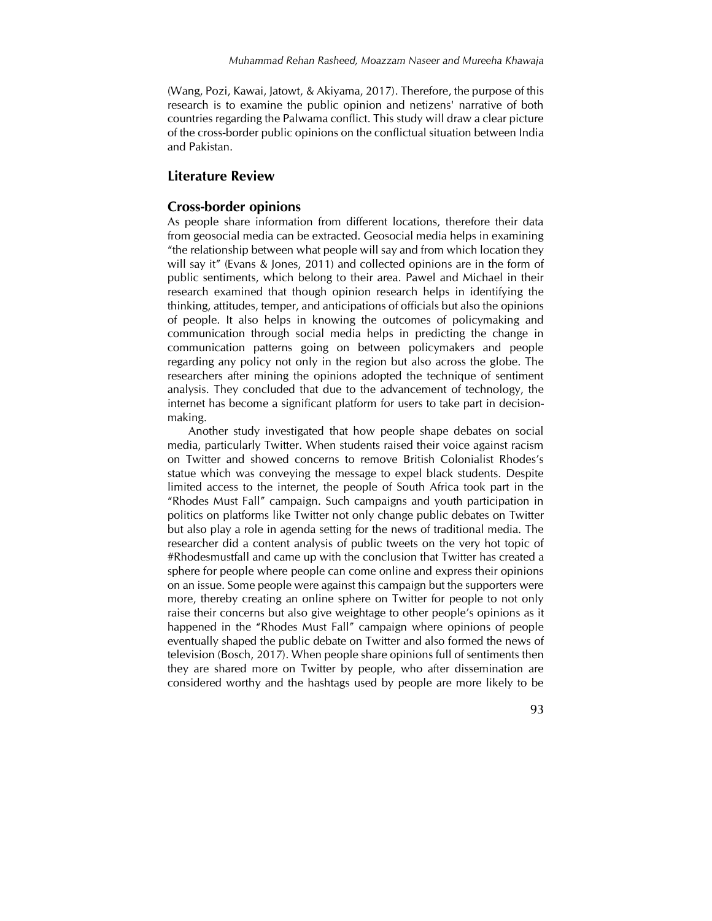(Wang, Pozi, Kawai, Jatowt, & Akiyama, 2017). Therefore, the purpose of this research is to examine the public opinion and netizens' narrative of both countries regarding the Palwama conflict. This study will draw a clear picture of the cross-border public opinions on the conflictual situation between India and Pakistan.

## **Literature Review**

#### **Cross-border opinions**

As people share information from different locations, therefore their data from geosocial media can be extracted. Geosocial media helps in examining "the relationship between what people will say and from which location they will say it" (Evans & Jones, 2011) and collected opinions are in the form of public sentiments, which belong to their area. Pawel and Michael in their research examined that though opinion research helps in identifying the thinking, attitudes, temper, and anticipations of officials but also the opinions of people. It also helps in knowing the outcomes of policymaking and communication through social media helps in predicting the change in communication patterns going on between policymakers and people regarding any policy not only in the region but also across the globe. The researchers after mining the opinions adopted the technique of sentiment analysis. They concluded that due to the advancement of technology, the internet has become a significant platform for users to take part in decisionmaking.

Another study investigated that how people shape debates on social media, particularly Twitter. When students raised their voice against racism on Twitter and showed concerns to remove British Colonialist Rhodes's statue which was conveying the message to expel black students. Despite limited access to the internet, the people of South Africa took part in the "Rhodes Must Fall" campaign. Such campaigns and youth participation in politics on platforms like Twitter not only change public debates on Twitter but also play a role in agenda setting for the news of traditional media. The researcher did a content analysis of public tweets on the very hot topic of #Rhodesmustfall and came up with the conclusion that Twitter has created a sphere for people where people can come online and express their opinions on an issue. Some people were against this campaign but the supporters were more, thereby creating an online sphere on Twitter for people to not only raise their concerns but also give weightage to other people's opinions as it happened in the "Rhodes Must Fall" campaign where opinions of people eventually shaped the public debate on Twitter and also formed the news of television (Bosch, 2017). When people share opinions full of sentiments then they are shared more on Twitter by people, who after dissemination are considered worthy and the hashtags used by people are more likely to be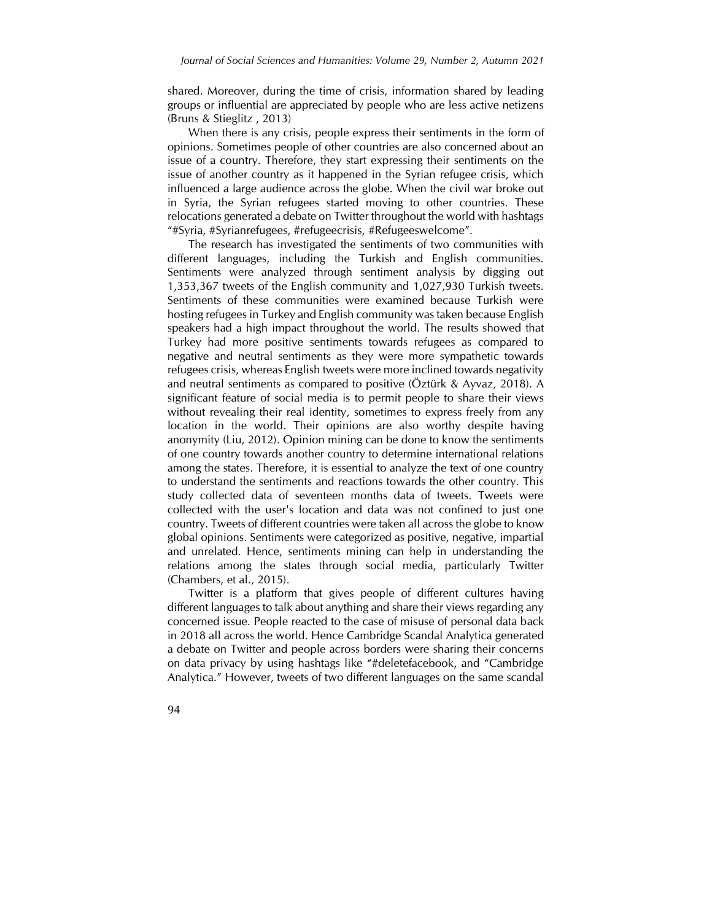shared. Moreover, during the time of crisis, information shared by leading groups or influential are appreciated by people who are less active netizens (Bruns & Stieglitz , 2013)

When there is any crisis, people express their sentiments in the form of opinions. Sometimes people of other countries are also concerned about an issue of a country. Therefore, they start expressing their sentiments on the issue of another country as it happened in the Syrian refugee crisis, which influenced a large audience across the globe. When the civil war broke out in Syria, the Syrian refugees started moving to other countries. These relocations generated a debate on Twitter throughout the world with hashtags "#Syria, #Syrianrefugees, #refugeecrisis, #Refugeeswelcome".

The research has investigated the sentiments of two communities with different languages, including the Turkish and English communities. Sentiments were analyzed through sentiment analysis by digging out 1,353,367 tweets of the English community and 1,027,930 Turkish tweets. Sentiments of these communities were examined because Turkish were hosting refugees in Turkey and English community was taken because English speakers had a high impact throughout the world. The results showed that Turkey had more positive sentiments towards refugees as compared to negative and neutral sentiments as they were more sympathetic towards refugees crisis, whereas English tweets were more inclined towards negativity and neutral sentiments as compared to positive (Öztürk & Ayvaz, 2018). A significant feature of social media is to permit people to share their views without revealing their real identity, sometimes to express freely from any location in the world. Their opinions are also worthy despite having anonymity (Liu, 2012). Opinion mining can be done to know the sentiments of one country towards another country to determine international relations among the states. Therefore, it is essential to analyze the text of one country to understand the sentiments and reactions towards the other country. This study collected data of seventeen months data of tweets. Tweets were collected with the user's location and data was not confined to just one country. Tweets of different countries were taken all across the globe to know global opinions. Sentiments were categorized as positive, negative, impartial and unrelated. Hence, sentiments mining can help in understanding the relations among the states through social media, particularly Twitter (Chambers, et al., 2015).

Twitter is a platform that gives people of different cultures having different languages to talk about anything and share their views regarding any concerned issue. People reacted to the case of misuse of personal data back in 2018 all across the world. Hence Cambridge Scandal Analytica generated a debate on Twitter and people across borders were sharing their concerns on data privacy by using hashtags like "#deletefacebook, and "Cambridge Analytica." However, tweets of two different languages on the same scandal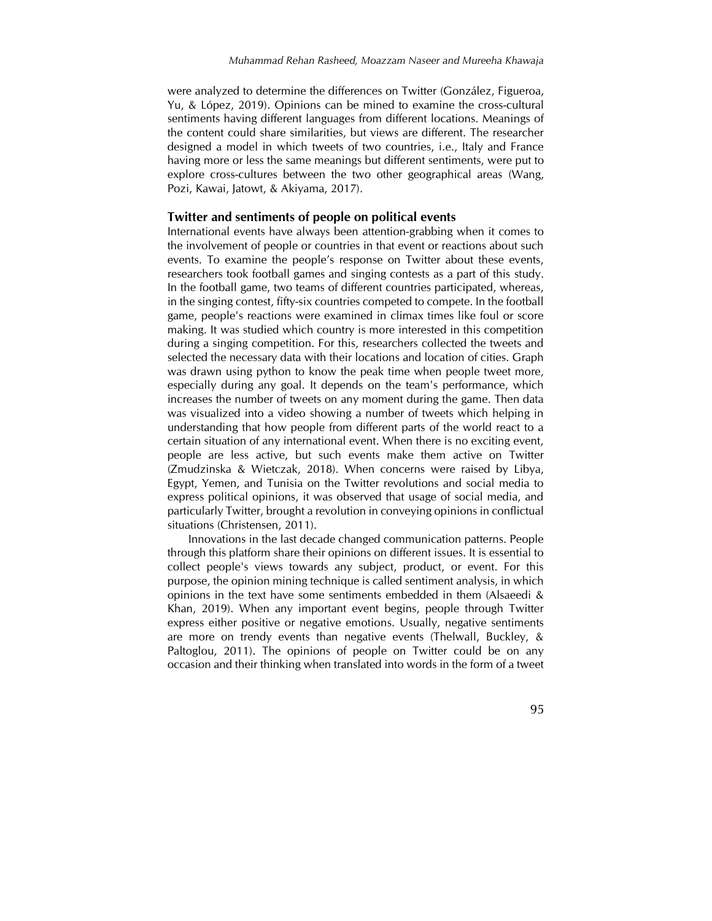were analyzed to determine the differences on Twitter (González, Figueroa, Yu, & López, 2019). Opinions can be mined to examine the cross-cultural sentiments having different languages from different locations. Meanings of the content could share similarities, but views are different. The researcher designed a model in which tweets of two countries, i.e., Italy and France having more or less the same meanings but different sentiments, were put to explore cross-cultures between the two other geographical areas (Wang, Pozi, Kawai, Jatowt, & Akiyama, 2017).

#### **Twitter and sentiments of people on political events**

International events have always been attention-grabbing when it comes to the involvement of people or countries in that event or reactions about such events. To examine the people's response on Twitter about these events, researchers took football games and singing contests as a part of this study. In the football game, two teams of different countries participated, whereas, in the singing contest, fifty-six countries competed to compete. In the football game, people's reactions were examined in climax times like foul or score making. It was studied which country is more interested in this competition during a singing competition. For this, researchers collected the tweets and selected the necessary data with their locations and location of cities. Graph was drawn using python to know the peak time when people tweet more, especially during any goal. It depends on the team's performance, which increases the number of tweets on any moment during the game. Then data was visualized into a video showing a number of tweets which helping in understanding that how people from different parts of the world react to a certain situation of any international event. When there is no exciting event, people are less active, but such events make them active on Twitter (Zmudzinska & Wietczak, 2018). When concerns were raised by Libya, Egypt, Yemen, and Tunisia on the Twitter revolutions and social media to express political opinions, it was observed that usage of social media, and particularly Twitter, brought a revolution in conveying opinions in conflictual situations (Christensen, 2011).

Innovations in the last decade changed communication patterns. People through this platform share their opinions on different issues. It is essential to collect people's views towards any subject, product, or event. For this purpose, the opinion mining technique is called sentiment analysis, in which opinions in the text have some sentiments embedded in them (Alsaeedi & Khan, 2019). When any important event begins, people through Twitter express either positive or negative emotions. Usually, negative sentiments are more on trendy events than negative events (Thelwall, Buckley, & Paltoglou, 2011). The opinions of people on Twitter could be on any occasion and their thinking when translated into words in the form of a tweet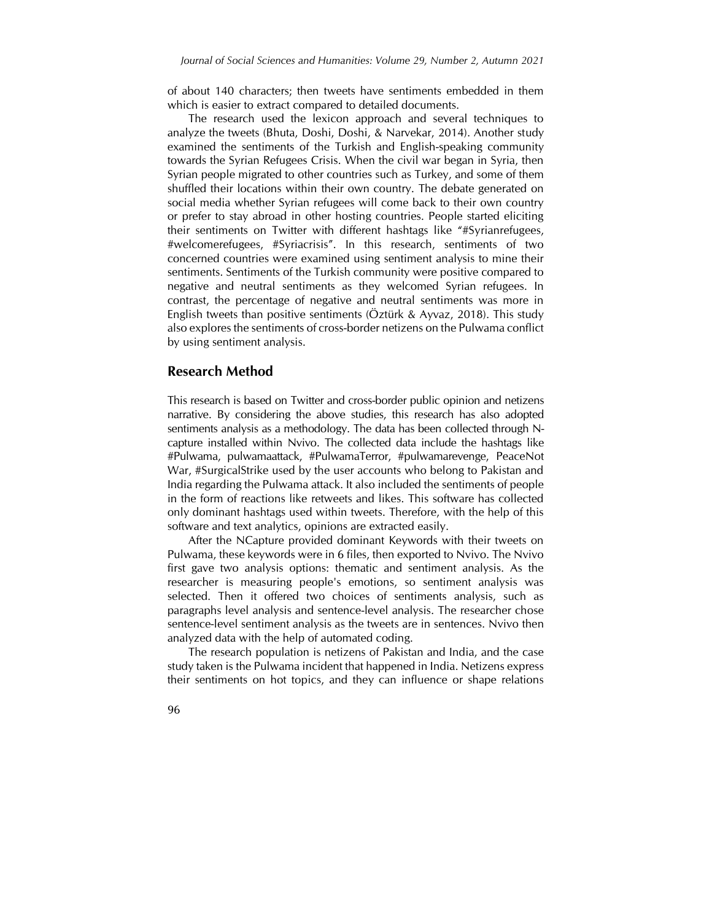of about 140 characters; then tweets have sentiments embedded in them which is easier to extract compared to detailed documents.

The research used the lexicon approach and several techniques to analyze the tweets (Bhuta, Doshi, Doshi, & Narvekar, 2014). Another study examined the sentiments of the Turkish and English-speaking community towards the Syrian Refugees Crisis. When the civil war began in Syria, then Syrian people migrated to other countries such as Turkey, and some of them shuffled their locations within their own country. The debate generated on social media whether Syrian refugees will come back to their own country or prefer to stay abroad in other hosting countries. People started eliciting their sentiments on Twitter with different hashtags like "#Syrianrefugees, #welcomerefugees, #Syriacrisis". In this research, sentiments of two concerned countries were examined using sentiment analysis to mine their sentiments. Sentiments of the Turkish community were positive compared to negative and neutral sentiments as they welcomed Syrian refugees. In contrast, the percentage of negative and neutral sentiments was more in English tweets than positive sentiments (Öztürk & Ayvaz, 2018). This study also explores the sentiments of cross-border netizens on the Pulwama conflict by using sentiment analysis.

### **Research Method**

This research is based on Twitter and cross-border public opinion and netizens narrative. By considering the above studies, this research has also adopted sentiments analysis as a methodology. The data has been collected through Ncapture installed within Nvivo. The collected data include the hashtags like #Pulwama, pulwamaattack, #PulwamaTerror, #pulwamarevenge, PeaceNot War, #SurgicalStrike used by the user accounts who belong to Pakistan and India regarding the Pulwama attack. It also included the sentiments of people in the form of reactions like retweets and likes. This software has collected only dominant hashtags used within tweets. Therefore, with the help of this software and text analytics, opinions are extracted easily.

After the NCapture provided dominant Keywords with their tweets on Pulwama, these keywords were in 6 files, then exported to Nvivo. The Nvivo first gave two analysis options: thematic and sentiment analysis. As the researcher is measuring people's emotions, so sentiment analysis was selected. Then it offered two choices of sentiments analysis, such as paragraphs level analysis and sentence-level analysis. The researcher chose sentence-level sentiment analysis as the tweets are in sentences. Nvivo then analyzed data with the help of automated coding.

The research population is netizens of Pakistan and India, and the case study taken is the Pulwama incident that happened in India. Netizens express their sentiments on hot topics, and they can influence or shape relations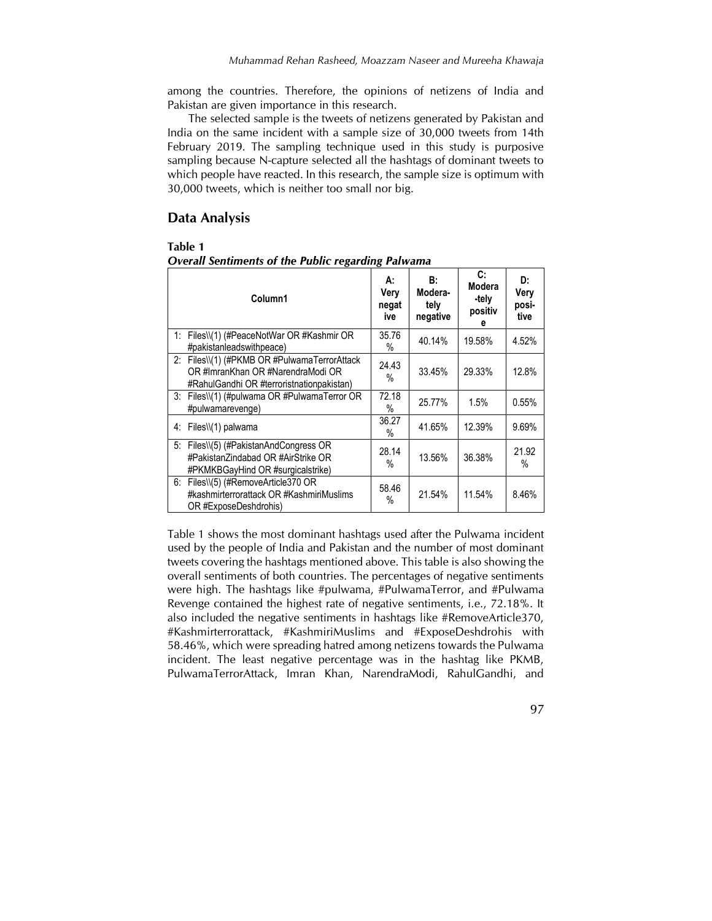among the countries. Therefore, the opinions of netizens of India and Pakistan are given importance in this research.

The selected sample is the tweets of netizens generated by Pakistan and India on the same incident with a sample size of 30,000 tweets from 14th February 2019. The sampling technique used in this study is purposive sampling because N-capture selected all the hashtags of dominant tweets to which people have reacted. In this research, the sample size is optimum with 30,000 tweets, which is neither too small nor big.

## **Data Analysis**

#### **Table 1**

| Column1                                                                                                                        | А:<br>Very<br>negat<br>ive | B:<br>Modera-<br>tely<br>negative | C:<br>Modera<br>-tely<br>positiv<br>е | D:<br>Very<br>posi-<br>tive |
|--------------------------------------------------------------------------------------------------------------------------------|----------------------------|-----------------------------------|---------------------------------------|-----------------------------|
| 1: Files\\(1) (#PeaceNotWar OR #Kashmir OR<br>#pakistanleadswithpeace)                                                         | 35.76<br>%                 | 40.14%                            | 19.58%                                | 4.52%                       |
| 2: Files\\(1) (#PKMB OR #PulwamaTerrorAttack<br>OR #ImranKhan OR #NarendraModi OR<br>#RahulGandhi OR #terroristnationpakistan) | 24.43<br>%                 | 33.45%                            | 29.33%                                | 12.8%                       |
| 3: Files\\(1) (#pulwama OR #PulwamaTerror OR<br>#pulwamarevenge)                                                               | 72.18<br>%                 | 25.77%                            | 1.5%                                  | 0.55%                       |
| 4: Files\\(1) palwama                                                                                                          | 36.27<br>%                 | 41.65%                            | 12.39%                                | 9.69%                       |
| 5: Files\\(5) (#PakistanAndCongress OR<br>#PakistanZindabad OR #AirStrike OR<br>#PKMKBGayHind OR #surgicalstrike)              | 28.14<br>%                 | 13.56%                            | 36.38%                                | 21.92<br>$\%$               |
| 6: Files\\(5) (#RemoveArticle370 OR<br>#kashmirterrorattack OR #KashmiriMuslims<br>OR #ExposeDeshdrohis)                       | 58.46<br>%                 | 21.54%                            | 11.54%                                | 8.46%                       |

*Overall Sentiments of the Public regarding Palwama*

Table 1 shows the most dominant hashtags used after the Pulwama incident used by the people of India and Pakistan and the number of most dominant tweets covering the hashtags mentioned above. This table is also showing the overall sentiments of both countries. The percentages of negative sentiments were high. The hashtags like #pulwama, #PulwamaTerror, and #Pulwama Revenge contained the highest rate of negative sentiments, i.e., 72.18%. It also included the negative sentiments in hashtags like #RemoveArticle370, #Kashmirterrorattack, #KashmiriMuslims and #ExposeDeshdrohis with 58.46%, which were spreading hatred among netizens towards the Pulwama incident. The least negative percentage was in the hashtag like PKMB, PulwamaTerrorAttack, Imran Khan, NarendraModi, RahulGandhi, and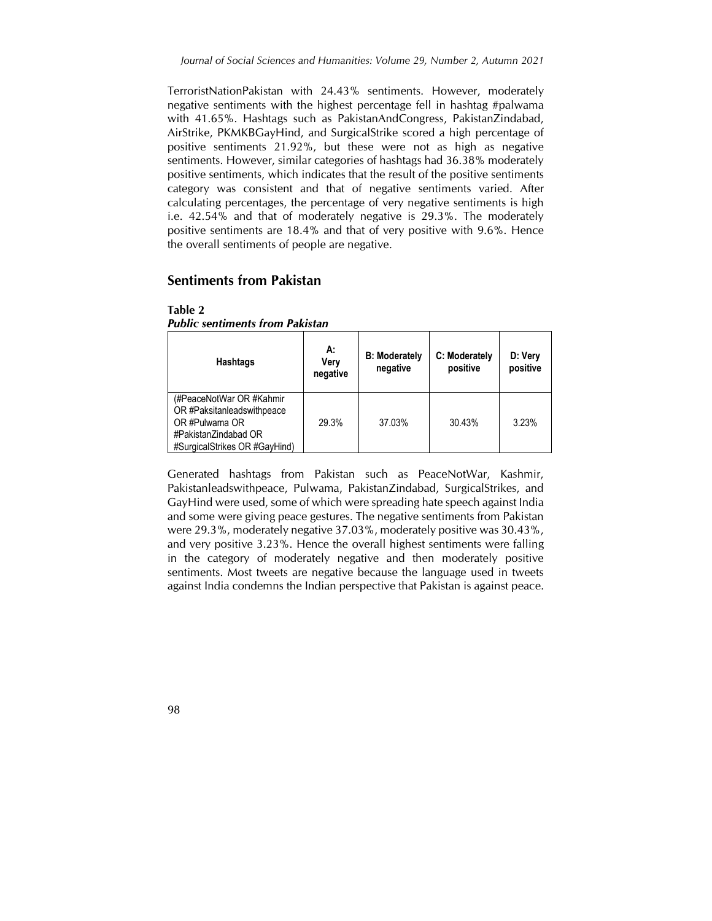TerroristNationPakistan with 24.43% sentiments. However, moderately negative sentiments with the highest percentage fell in hashtag #palwama with 41.65%. Hashtags such as PakistanAndCongress, PakistanZindabad, AirStrike, PKMKBGayHind, and SurgicalStrike scored a high percentage of positive sentiments 21.92%, but these were not as high as negative sentiments. However, similar categories of hashtags had 36.38% moderately positive sentiments, which indicates that the result of the positive sentiments category was consistent and that of negative sentiments varied. After calculating percentages, the percentage of very negative sentiments is high i.e. 42.54% and that of moderately negative is 29.3%. The moderately positive sentiments are 18.4% and that of very positive with 9.6%. Hence the overall sentiments of people are negative.

# **Sentiments from Pakistan**

| <b>Hashtags</b>                                                                                                                   | А:<br>Verv<br>negative | <b>B: Moderately</b><br>negative | C: Moderately<br>positive | D: Very<br>positive |
|-----------------------------------------------------------------------------------------------------------------------------------|------------------------|----------------------------------|---------------------------|---------------------|
| (#PeaceNotWar OR #Kahmir<br>OR #Paksitanleadswithpeace<br>OR #Pulwama OR<br>#PakistanZindabad OR<br>#SurgicalStrikes OR #GayHind) | 29.3%                  | 37.03%                           | 30.43%                    | 3.23%               |

| Table 2                                |  |
|----------------------------------------|--|
| <b>Public sentiments from Pakistan</b> |  |

Generated hashtags from Pakistan such as PeaceNotWar, Kashmir, Pakistanleadswithpeace, Pulwama, PakistanZindabad, SurgicalStrikes, and GayHind were used, some of which were spreading hate speech against India and some were giving peace gestures. The negative sentiments from Pakistan were 29.3%, moderately negative 37.03%, moderately positive was 30.43%, and very positive 3.23%. Hence the overall highest sentiments were falling in the category of moderately negative and then moderately positive sentiments. Most tweets are negative because the language used in tweets against India condemns the Indian perspective that Pakistan is against peace.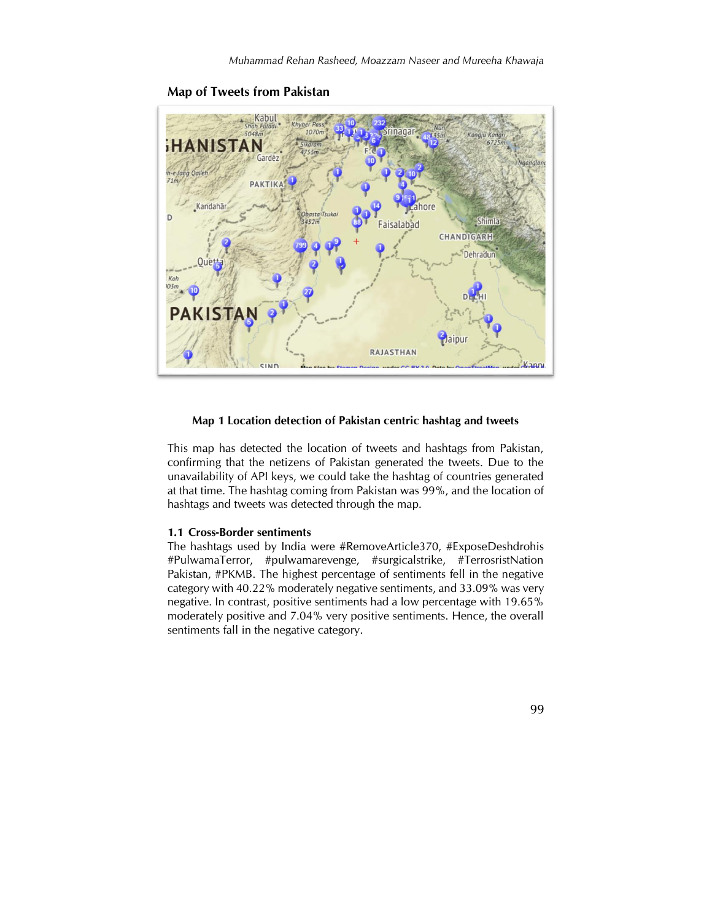

**Map of Tweets from Pakistan**

#### **Map 1 Location detection of Pakistan centric hashtag and tweets**

This map has detected the location of tweets and hashtags from Pakistan, confirming that the netizens of Pakistan generated the tweets. Due to the unavailability of API keys, we could take the hashtag of countries generated at that time. The hashtag coming from Pakistan was 99%, and the location of hashtags and tweets was detected through the map.

#### **1.1 Cross-Border sentiments**

The hashtags used by India were #RemoveArticle370, #ExposeDeshdrohis #PulwamaTerror, #pulwamarevenge, #surgicalstrike, #TerrosristNation Pakistan, #PKMB. The highest percentage of sentiments fell in the negative category with 40.22% moderately negative sentiments, and 33.09% was very negative. In contrast, positive sentiments had a low percentage with 19.65% moderately positive and 7.04% very positive sentiments. Hence, the overall sentiments fall in the negative category.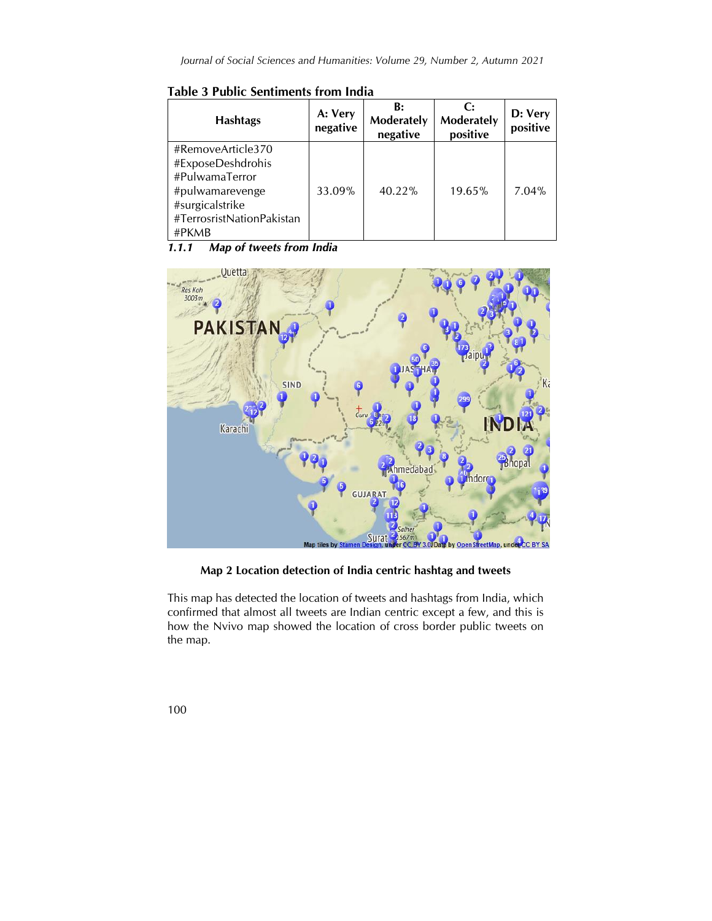**Table 3 Public Sentiments from India**

| <b>Hashtags</b>                                                                                                                      | A: Very<br>negative | B:<br>Moderately<br>negative | C:<br>Moderately<br>positive | D: Very<br>positive |
|--------------------------------------------------------------------------------------------------------------------------------------|---------------------|------------------------------|------------------------------|---------------------|
| #RemoveArticle370<br>#ExposeDeshdrohis<br>#PulwamaTerror<br>#pulwamarevenge<br>#surgicalstrike<br>#TerrosristNationPakistan<br>#PKMB | 33.09%              | $40.22\%$                    | 19.65%                       | $7.04\%$            |

*1.1.1 Map of tweets from India*



**Map 2 Location detection of India centric hashtag and tweets**

This map has detected the location of tweets and hashtags from India, which confirmed that almost all tweets are Indian centric except a few, and this is how the Nvivo map showed the location of cross border public tweets on the map.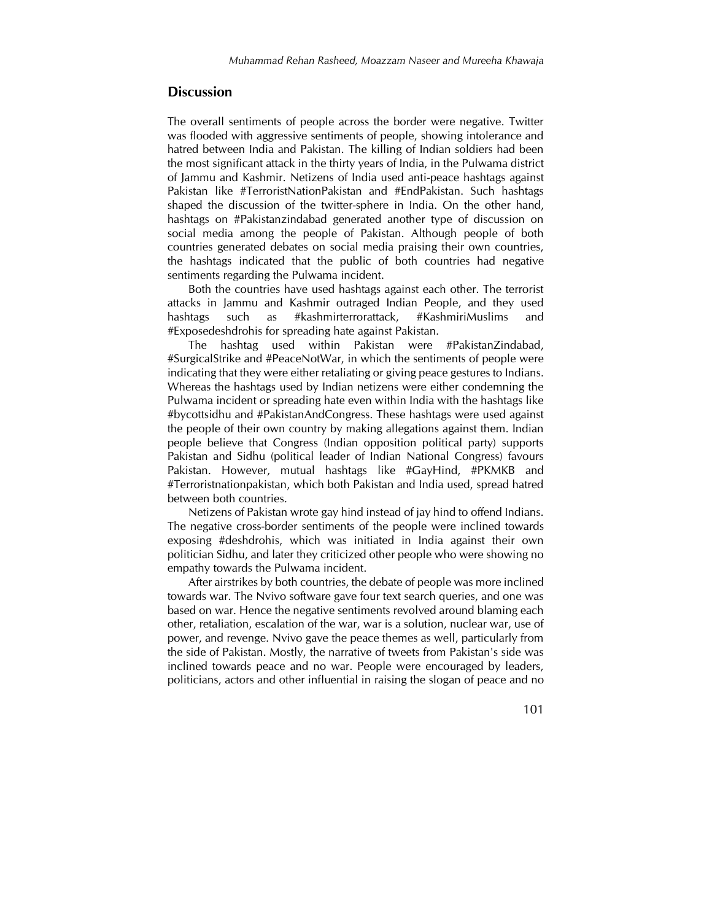## **Discussion**

The overall sentiments of people across the border were negative. Twitter was flooded with aggressive sentiments of people, showing intolerance and hatred between India and Pakistan. The killing of Indian soldiers had been the most significant attack in the thirty years of India, in the Pulwama district of Jammu and Kashmir. Netizens of India used anti-peace hashtags against Pakistan like #TerroristNationPakistan and #EndPakistan. Such hashtags shaped the discussion of the twitter-sphere in India. On the other hand, hashtags on #Pakistanzindabad generated another type of discussion on social media among the people of Pakistan. Although people of both countries generated debates on social media praising their own countries, the hashtags indicated that the public of both countries had negative sentiments regarding the Pulwama incident.

Both the countries have used hashtags against each other. The terrorist attacks in Jammu and Kashmir outraged Indian People, and they used hashtags such as #kashmirterrorattack, #KashmiriMuslims and #Exposedeshdrohis for spreading hate against Pakistan.

The hashtag used within Pakistan were #PakistanZindabad, #SurgicalStrike and #PeaceNotWar, in which the sentiments of people were indicating that they were either retaliating or giving peace gestures to Indians. Whereas the hashtags used by Indian netizens were either condemning the Pulwama incident or spreading hate even within India with the hashtags like #bycottsidhu and #PakistanAndCongress. These hashtags were used against the people of their own country by making allegations against them. Indian people believe that Congress (Indian opposition political party) supports Pakistan and Sidhu (political leader of Indian National Congress) favours Pakistan. However, mutual hashtags like #GayHind, #PKMKB and #Terroristnationpakistan, which both Pakistan and India used, spread hatred between both countries.

Netizens of Pakistan wrote gay hind instead of jay hind to offend Indians. The negative cross-border sentiments of the people were inclined towards exposing #deshdrohis, which was initiated in India against their own politician Sidhu, and later they criticized other people who were showing no empathy towards the Pulwama incident.

After airstrikes by both countries, the debate of people was more inclined towards war. The Nvivo software gave four text search queries, and one was based on war. Hence the negative sentiments revolved around blaming each other, retaliation, escalation of the war, war is a solution, nuclear war, use of power, and revenge. Nvivo gave the peace themes as well, particularly from the side of Pakistan. Mostly, the narrative of tweets from Pakistan's side was inclined towards peace and no war. People were encouraged by leaders, politicians, actors and other influential in raising the slogan of peace and no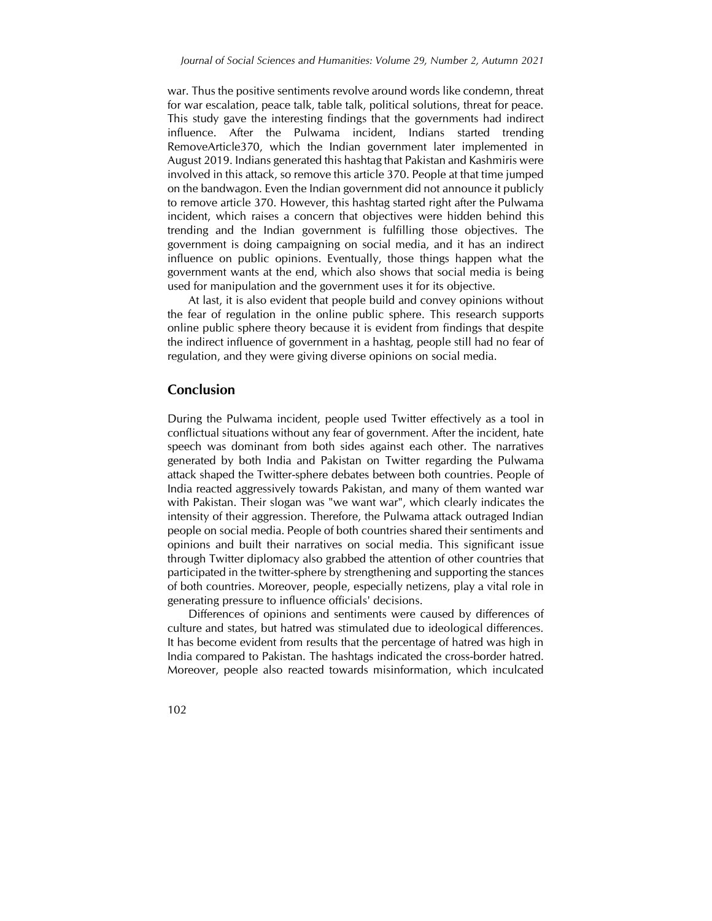war. Thus the positive sentiments revolve around words like condemn, threat for war escalation, peace talk, table talk, political solutions, threat for peace. This study gave the interesting findings that the governments had indirect influence. After the Pulwama incident, Indians started trending RemoveArticle370, which the Indian government later implemented in August 2019. Indians generated this hashtag that Pakistan and Kashmiris were involved in this attack, so remove this article 370. People at that time jumped on the bandwagon. Even the Indian government did not announce it publicly to remove article 370. However, this hashtag started right after the Pulwama incident, which raises a concern that objectives were hidden behind this trending and the Indian government is fulfilling those objectives. The government is doing campaigning on social media, and it has an indirect influence on public opinions. Eventually, those things happen what the government wants at the end, which also shows that social media is being used for manipulation and the government uses it for its objective.

At last, it is also evident that people build and convey opinions without the fear of regulation in the online public sphere. This research supports online public sphere theory because it is evident from findings that despite the indirect influence of government in a hashtag, people still had no fear of regulation, and they were giving diverse opinions on social media.

## **Conclusion**

During the Pulwama incident, people used Twitter effectively as a tool in conflictual situations without any fear of government. After the incident, hate speech was dominant from both sides against each other. The narratives generated by both India and Pakistan on Twitter regarding the Pulwama attack shaped the Twitter-sphere debates between both countries. People of India reacted aggressively towards Pakistan, and many of them wanted war with Pakistan. Their slogan was "we want war", which clearly indicates the intensity of their aggression. Therefore, the Pulwama attack outraged Indian people on social media. People of both countries shared their sentiments and opinions and built their narratives on social media. This significant issue through Twitter diplomacy also grabbed the attention of other countries that participated in the twitter-sphere by strengthening and supporting the stances of both countries. Moreover, people, especially netizens, play a vital role in generating pressure to influence officials' decisions.

Differences of opinions and sentiments were caused by differences of culture and states, but hatred was stimulated due to ideological differences. It has become evident from results that the percentage of hatred was high in India compared to Pakistan. The hashtags indicated the cross-border hatred. Moreover, people also reacted towards misinformation, which inculcated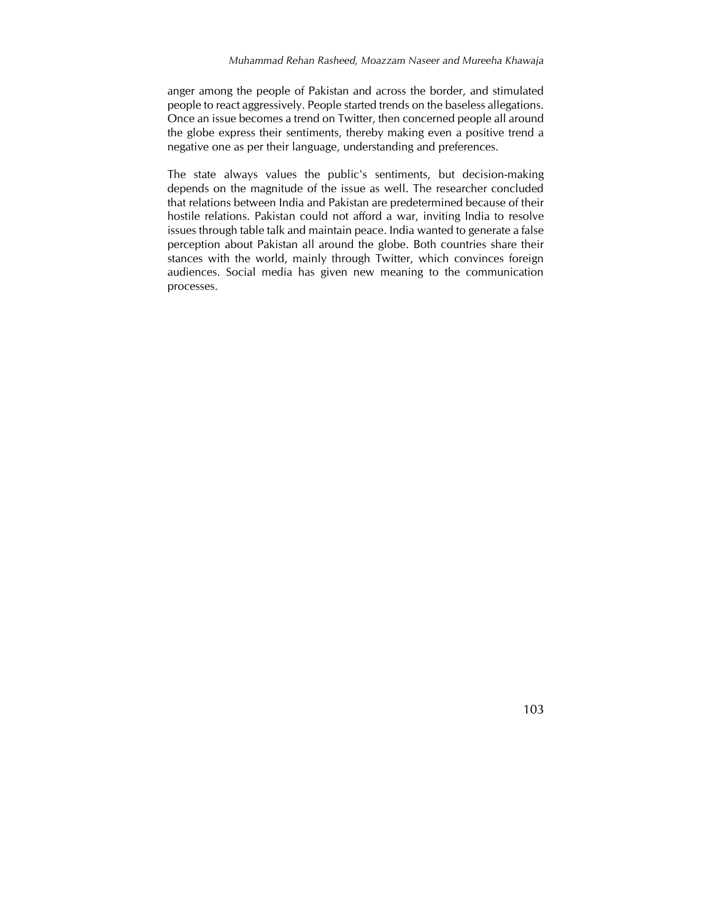#### *Muhammad Rehan Rasheed, Moazzam Naseer and Mureeha Khawaja*

anger among the people of Pakistan and across the border, and stimulated people to react aggressively. People started trends on the baseless allegations. Once an issue becomes a trend on Twitter, then concerned people all around the globe express their sentiments, thereby making even a positive trend a negative one as per their language, understanding and preferences.

The state always values the public's sentiments, but decision-making depends on the magnitude of the issue as well. The researcher concluded that relations between India and Pakistan are predetermined because of their hostile relations. Pakistan could not afford a war, inviting India to resolve issues through table talk and maintain peace. India wanted to generate a false perception about Pakistan all around the globe. Both countries share their stances with the world, mainly through Twitter, which convinces foreign audiences. Social media has given new meaning to the communication processes.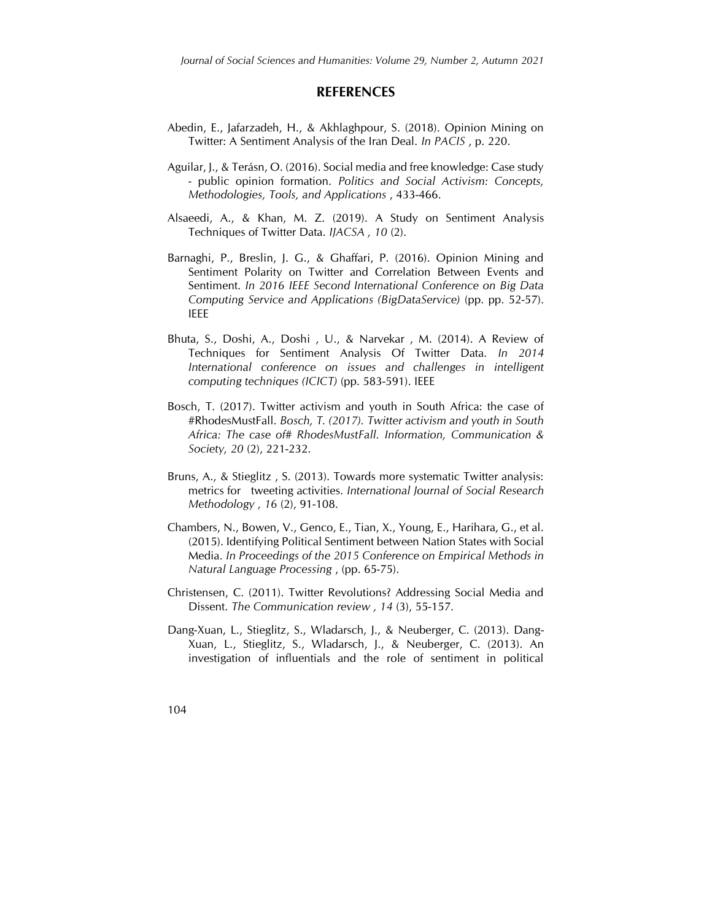### **REFERENCES**

- Abedin, E., Jafarzadeh, H., & Akhlaghpour, S. (2018). Opinion Mining on Twitter: A Sentiment Analysis of the Iran Deal. *In PACIS* , p. 220.
- Aguilar, J., & Terásn, O. (2016). Social media and free knowledge: Case study - public opinion formation. *Politics and Social Activism: Concepts, Methodologies, Tools, and Applications* , 433-466.
- Alsaeedi, A., & Khan, M. Z. (2019). A Study on Sentiment Analysis Techniques of Twitter Data. *IJACSA , 10* (2).
- Barnaghi, P., Breslin, J. G., & Ghaffari, P. (2016). Opinion Mining and Sentiment Polarity on Twitter and Correlation Between Events and Sentiment. *In 2016 IEEE Second International Conference on Big Data Computing Service and Applications (BigDataService)* (pp. pp. 52-57). IEEE
- Bhuta, S., Doshi, A., Doshi , U., & Narvekar , M. (2014). A Review of Techniques for Sentiment Analysis Of Twitter Data. *In 2014 International conference on issues and challenges in intelligent computing techniques (ICICT)* (pp. 583-591). IEEE
- Bosch, T. (2017). Twitter activism and youth in South Africa: the case of #RhodesMustFall. *Bosch, T. (2017). Twitter activism and youth in South Africa: The case of# RhodesMustFall. Information, Communication & Society, 20* (2), 221-232.
- Bruns, A., & Stieglitz , S. (2013). Towards more systematic Twitter analysis: metrics for tweeting activities. *International Journal of Social Research Methodology , 16* (2), 91-108.
- Chambers, N., Bowen, V., Genco, E., Tian, X., Young, E., Harihara, G., et al. (2015). Identifying Political Sentiment between Nation States with Social Media. *In Proceedings of the 2015 Conference on Empirical Methods in Natural Language Processing* , (pp. 65-75).
- Christensen, C. (2011). Twitter Revolutions? Addressing Social Media and Dissent. *The Communication review , 14* (3), 55-157.
- Dang-Xuan, L., Stieglitz, S., Wladarsch, J., & Neuberger, C. (2013). Dang-Xuan, L., Stieglitz, S., Wladarsch, J., & Neuberger, C. (2013). An investigation of influentials and the role of sentiment in political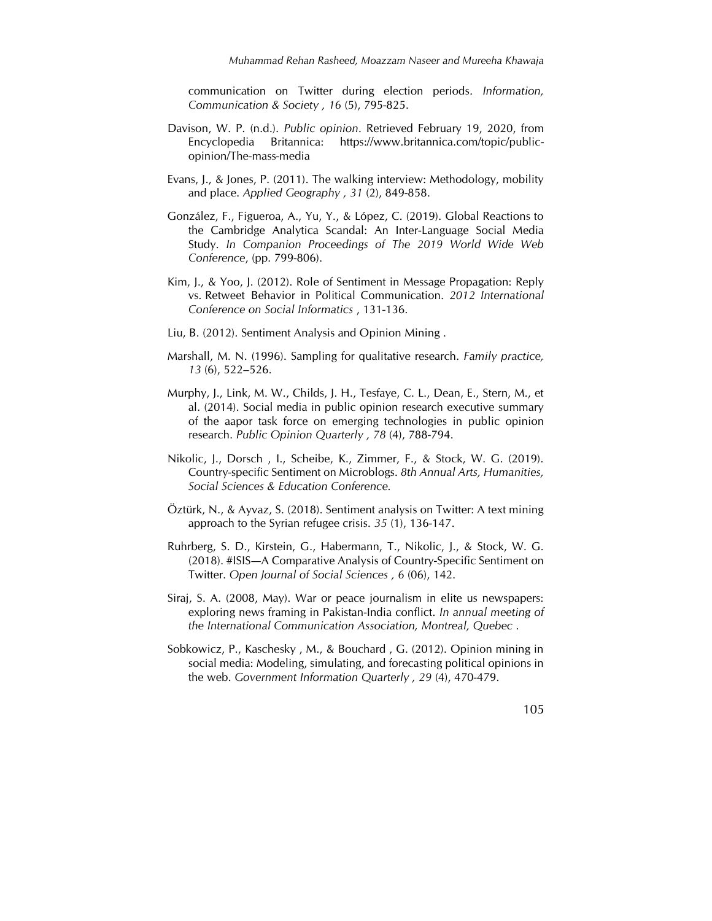communication on Twitter during election periods. *Information, Communication & Society , 16* (5), 795-825.

- Davison, W. P. (n.d.). *Public opinion*. Retrieved February 19, 2020, from Encyclopedia Britannica: https://www.britannica.com/topic/publicopinion/The-mass-media
- Evans, J., & Jones, P. (2011). The walking interview: Methodology, mobility and place. *Applied Geography , 31* (2), 849-858.
- González, F., Figueroa, A., Yu, Y., & López, C. (2019). Global Reactions to the Cambridge Analytica Scandal: An Inter-Language Social Media Study. *In Companion Proceedings of The 2019 World Wide Web Conference*, (pp. 799-806).
- Kim, J., & Yoo, J. (2012). Role of Sentiment in Message Propagation: Reply vs. Retweet Behavior in Political Communication. *2012 International Conference on Social Informatics* , 131-136.
- Liu, B. (2012). Sentiment Analysis and Opinion Mining .
- Marshall, M. N. (1996). Sampling for qualitative research. *Family practice, 13* (6), 522–526.
- Murphy, J., Link, M. W., Childs, J. H., Tesfaye, C. L., Dean, E., Stern, M., et al. (2014). Social media in public opinion research executive summary of the aapor task force on emerging technologies in public opinion research. *Public Opinion Quarterly , 78* (4), 788-794.
- Nikolic, J., Dorsch , I., Scheibe, K., Zimmer, F., & Stock, W. G. (2019). Country-specific Sentiment on Microblogs. *8th Annual Arts, Humanities, Social Sciences & Education Conference.*
- Öztürk, N., & Ayvaz, S. (2018). Sentiment analysis on Twitter: A text mining approach to the Syrian refugee crisis. *35* (1), 136-147.
- Ruhrberg, S. D., Kirstein, G., Habermann, T., Nikolic, J., & Stock, W. G. (2018). #ISIS—A Comparative Analysis of Country-Specific Sentiment on Twitter. *Open Journal of Social Sciences , 6* (06), 142.
- Siraj, S. A. (2008, May). War or peace journalism in elite us newspapers: exploring news framing in Pakistan-India conflict. *In annual meeting of the International Communication Association, Montreal, Quebec* .
- Sobkowicz, P., Kaschesky , M., & Bouchard , G. (2012). Opinion mining in social media: Modeling, simulating, and forecasting political opinions in the web. *Government Information Quarterly , 29* (4), 470-479.